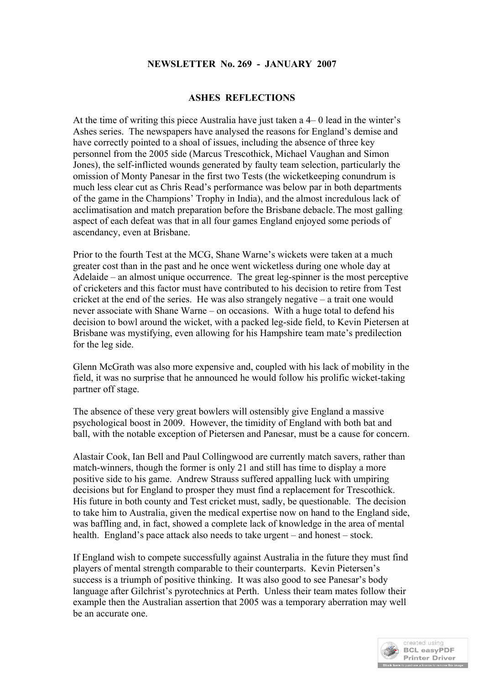## **NEWSLETTER No. 269 - JANUARY 2007**

#### **ASHES REFLECTIONS**

At the time of writing this piece Australia have just taken a 4– 0 lead in the winter's Ashes series. The newspapers have analysed the reasons for England's demise and have correctly pointed to a shoal of issues, including the absence of three key personnel from the 2005 side (Marcus Trescothick, Michael Vaughan and Simon Jones), the self-inflicted wounds generated by faulty team selection, particularly the omission of Monty Panesar in the first two Tests (the wicketkeeping conundrum is much less clear cut as Chris Read's performance was below par in both departments of the game in the Champions' Trophy in India), and the almost incredulous lack of acclimatisation and match preparation before the Brisbane debacle.The most galling aspect of each defeat was that in all four games England enjoyed some periods of ascendancy, even at Brisbane.

Prior to the fourth Test at the MCG, Shane Warne's wickets were taken at a much greater cost than in the past and he once went wicketless during one whole day at Adelaide – an almost unique occurrence. The great leg-spinner is the most perceptive of cricketers and this factor must have contributed to his decision to retire from Test cricket at the end of the series. He was also strangely negative – a trait one would never associate with Shane Warne – on occasions. With a huge total to defend his decision to bowl around the wicket, with a packed leg-side field, to Kevin Pietersen at Brisbane was mystifying, even allowing for his Hampshire team mate's predilection for the leg side.

Glenn McGrath was also more expensive and, coupled with his lack of mobility in the field, it was no surprise that he announced he would follow his prolific wicket-taking partner off stage.

The absence of these very great bowlers will ostensibly give England a massive psychological boost in 2009. However, the timidity of England with both bat and ball, with the notable exception of Pietersen and Panesar, must be a cause for concern.

Alastair Cook, Ian Bell and Paul Collingwood are currently match savers, rather than match-winners, though the former is only 21 and still has time to display a more positive side to his game. Andrew Strauss suffered appalling luck with umpiring decisions but for England to prosper they must find a replacement for Trescothick. His future in both county and Test cricket must, sadly, be questionable. The decision to take him to Australia, given the medical expertise now on hand to the England side, was baffling and, in fact, showed a complete lack of knowledge in the area of mental health. England's pace attack also needs to take urgent – and honest – stock.

If England wish to compete successfully against Australia in the future they must find players of mental strength comparable to their counterparts. Kevin Pietersen's success is a triumph of positive thinking. It was also good to see Panesar's body language after Gilchrist's pyrotechnics at Perth. Unless their team mates follow their example then the Australian assertion that 2005 was a temporary aberration may well be an accurate one.

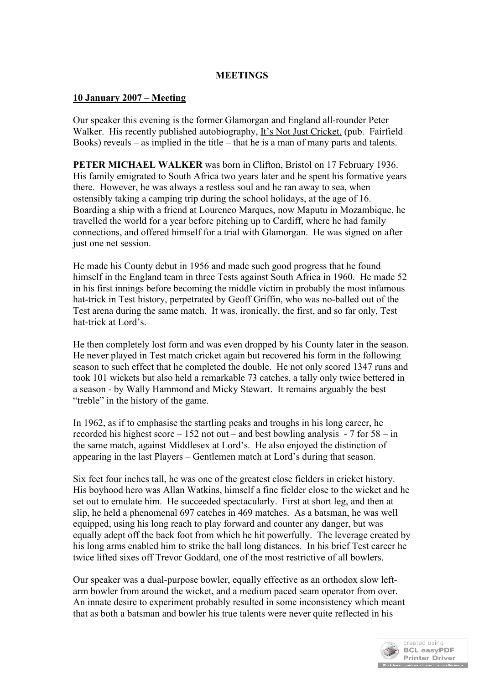#### **MEETINGS**

#### **10 January 2007 – Meeting**

Our speaker this evening is the former Glamorgan and England all-rounder Peter Walker. His recently published autobiography, It's Not Just Cricket, (pub. Fairfield Books) reveals – as implied in the title – that he is a man of many parts and talents.

**PETER MICHAEL WALKER** was born in Clifton, Bristol on 17 February 1936. His family emigrated to South Africa two years later and he spent his formative years there. However, he was always a restless soul and he ran away to sea, when ostensibly taking a camping trip during the school holidays, at the age of 16. Boarding a ship with a friend at Lourenco Marques, now Maputu in Mozambique, he travelled the world for a year before pitching up to Cardiff, where he had family connections, and offered himself for a trial with Glamorgan. He was signed on after just one net session.

He made his County debut in 1956 and made such good progress that he found himself in the England team in three Tests against South Africa in 1960. He made 52 in his first innings before becoming the middle victim in probably the most infamous hat-trick in Test history, perpetrated by Geoff Griffin, who was no-balled out of the Test arena during the same match. It was, ironically, the first, and so far only, Test hat-trick at Lord's.

He then completely lost form and was even dropped by his County later in the season. He never played in Test match cricket again but recovered his form in the following season to such effect that he completed the double. He not only scored 1347 runs and took 101 wickets but also held a remarkable 73 catches, a tally only twice bettered in a season - by Wally Hammond and Micky Stewart. It remains arguably the best "treble" in the history of the game.

In 1962, as if to emphasise the startling peaks and troughs in his long career, he recorded his highest score  $-152$  not out – and best bowling analysis - 7 for  $58 - in$ the same match, against Middlesex at Lord's. He also enjoyed the distinction of appearing in the last Players – Gentlemen match at Lord's during that season.

Six feet four inches tall, he was one of the greatest close fielders in cricket history. His boyhood hero was Allan Watkins, himself a fine fielder close to the wicket and he set out to emulate him. He succeeded spectacularly. First at short leg, and then at slip, he held a phenomenal 697 catches in 469 matches. As a batsman, he was well equipped, using his long reach to play forward and counter any danger, but was equally adept off the back foot from which he hit powerfully. The leverage created by his long arms enabled him to strike the ball long distances. In his brief Test career he twice lifted sixes off Trevor Goddard, one of the most restrictive of all bowlers.

Our speaker was a dual-purpose bowler, equally effective as an orthodox slow leftarm bowler from around the wicket, and a medium paced seam operator from over. An innate desire to experiment probably resulted in some inconsistency which meant that as both a batsman and bowler his true talents were never quite reflected in his

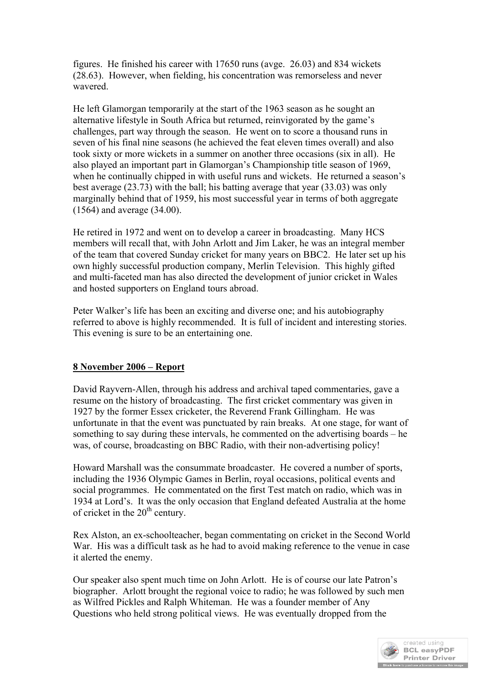figures. He finished his career with 17650 runs (avge. 26.03) and 834 wickets (28.63). However, when fielding, his concentration was remorseless and never wavered.

He left Glamorgan temporarily at the start of the 1963 season as he sought an alternative lifestyle in South Africa but returned, reinvigorated by the game's challenges, part way through the season. He went on to score a thousand runs in seven of his final nine seasons (he achieved the feat eleven times overall) and also took sixty or more wickets in a summer on another three occasions (six in all). He also played an important part in Glamorgan's Championship title season of 1969, when he continually chipped in with useful runs and wickets. He returned a season's best average (23.73) with the ball; his batting average that year (33.03) was only marginally behind that of 1959, his most successful year in terms of both aggregate (1564) and average (34.00).

He retired in 1972 and went on to develop a career in broadcasting. Many HCS members will recall that, with John Arlott and Jim Laker, he was an integral member of the team that covered Sunday cricket for many years on BBC2. He later set up his own highly successful production company, Merlin Television. This highly gifted and multi-faceted man has also directed the development of junior cricket in Wales and hosted supporters on England tours abroad.

Peter Walker's life has been an exciting and diverse one; and his autobiography referred to above is highly recommended. It is full of incident and interesting stories. This evening is sure to be an entertaining one.

## **8 November 2006 – Report**

David Rayvern-Allen, through his address and archival taped commentaries, gave a resume on the history of broadcasting. The first cricket commentary was given in 1927 by the former Essex cricketer, the Reverend Frank Gillingham. He was unfortunate in that the event was punctuated by rain breaks. At one stage, for want of something to say during these intervals, he commented on the advertising boards – he was, of course, broadcasting on BBC Radio, with their non-advertising policy!

Howard Marshall was the consummate broadcaster. He covered a number of sports, including the 1936 Olympic Games in Berlin, royal occasions, political events and social programmes. He commentated on the first Test match on radio, which was in 1934 at Lord's. It was the only occasion that England defeated Australia at the home of cricket in the  $20<sup>th</sup>$  century.

Rex Alston, an ex-schoolteacher, began commentating on cricket in the Second World War. His was a difficult task as he had to avoid making reference to the venue in case it alerted the enemy.

Our speaker also spent much time on John Arlott. He is of course our late Patron's biographer. Arlott brought the regional voice to radio; he was followed by such men as Wilfred Pickles and Ralph Whiteman. He was a founder member of Any Questions who held strong political views. He was eventually dropped from the

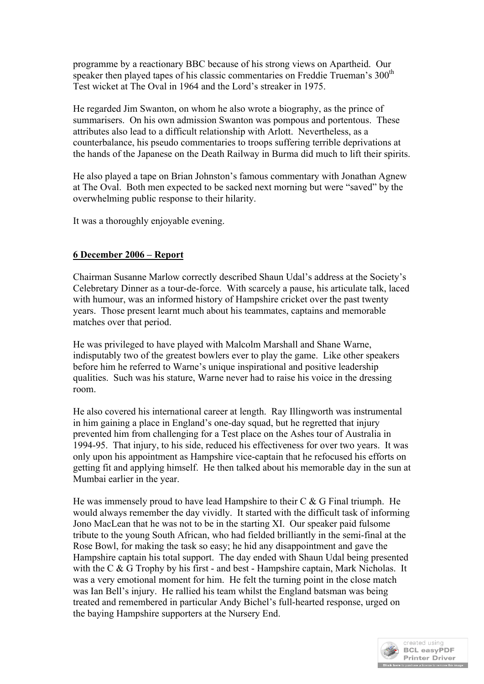programme by a reactionary BBC because of his strong views on Apartheid. Our speaker then played tapes of his classic commentaries on Freddie Trueman's  $300<sup>th</sup>$ Test wicket at The Oval in 1964 and the Lord's streaker in 1975.

He regarded Jim Swanton, on whom he also wrote a biography, as the prince of summarisers. On his own admission Swanton was pompous and portentous. These attributes also lead to a difficult relationship with Arlott. Nevertheless, as a counterbalance, his pseudo commentaries to troops suffering terrible deprivations at the hands of the Japanese on the Death Railway in Burma did much to lift their spirits.

He also played a tape on Brian Johnston's famous commentary with Jonathan Agnew at The Oval. Both men expected to be sacked next morning but were "saved" by the overwhelming public response to their hilarity.

It was a thoroughly enjoyable evening.

## **6 December 2006 – Report**

Chairman Susanne Marlow correctly described Shaun Udal's address at the Society's Celebretary Dinner as a tour-de-force. With scarcely a pause, his articulate talk, laced with humour, was an informed history of Hampshire cricket over the past twenty years. Those present learnt much about his teammates, captains and memorable matches over that period.

He was privileged to have played with Malcolm Marshall and Shane Warne, indisputably two of the greatest bowlers ever to play the game. Like other speakers before him he referred to Warne's unique inspirational and positive leadership qualities. Such was his stature, Warne never had to raise his voice in the dressing room.

He also covered his international career at length. Ray Illingworth was instrumental in him gaining a place in England's one-day squad, but he regretted that injury prevented him from challenging for a Test place on the Ashes tour of Australia in 1994-95. That injury, to his side, reduced his effectiveness for over two years. It was only upon his appointment as Hampshire vice-captain that he refocused his efforts on getting fit and applying himself. He then talked about his memorable day in the sun at Mumbai earlier in the year.

He was immensely proud to have lead Hampshire to their  $C \& G$  Final triumph. He would always remember the day vividly. It started with the difficult task of informing Jono MacLean that he was not to be in the starting XI. Our speaker paid fulsome tribute to the young South African, who had fielded brilliantly in the semi-final at the Rose Bowl, for making the task so easy; he hid any disappointment and gave the Hampshire captain his total support. The day ended with Shaun Udal being presented with the C & G Trophy by his first - and best - Hampshire captain, Mark Nicholas. It was a very emotional moment for him. He felt the turning point in the close match was Ian Bell's injury. He rallied his team whilst the England batsman was being treated and remembered in particular Andy Bichel's full-hearted response, urged on the baying Hampshire supporters at the Nursery End.

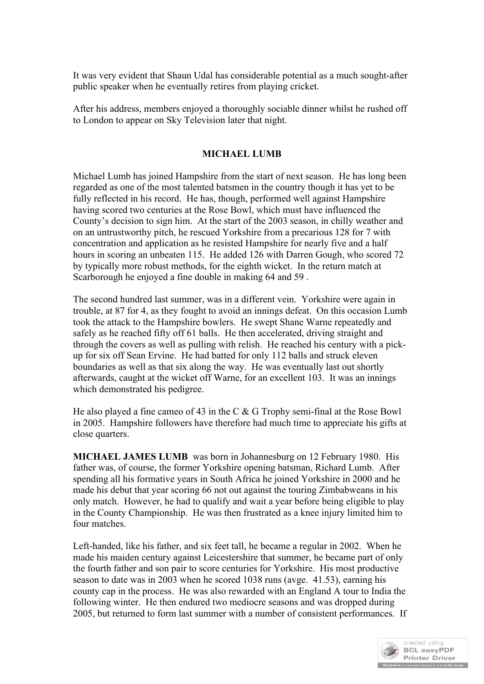It was very evident that Shaun Udal has considerable potential as a much sought-after public speaker when he eventually retires from playing cricket.

After his address, members enjoyed a thoroughly sociable dinner whilst he rushed off to London to appear on Sky Television later that night.

## **MICHAEL LUMB**

Michael Lumb has joined Hampshire from the start of next season. He has long been regarded as one of the most talented batsmen in the country though it has yet to be fully reflected in his record. He has, though, performed well against Hampshire having scored two centuries at the Rose Bowl, which must have influenced the County's decision to sign him. At the start of the 2003 season, in chilly weather and on an untrustworthy pitch, he rescued Yorkshire from a precarious 128 for 7 with concentration and application as he resisted Hampshire for nearly five and a half hours in scoring an unbeaten 115. He added 126 with Darren Gough, who scored 72 by typically more robust methods, for the eighth wicket. In the return match at Scarborough he enjoyed a fine double in making 64 and 59 .

The second hundred last summer, was in a different vein. Yorkshire were again in trouble, at 87 for 4, as they fought to avoid an innings defeat. On this occasion Lumb took the attack to the Hampshire bowlers. He swept Shane Warne repeatedly and safely as he reached fifty off 61 balls. He then accelerated, driving straight and through the covers as well as pulling with relish. He reached his century with a pickup for six off Sean Ervine. He had batted for only 112 balls and struck eleven boundaries as well as that six along the way. He was eventually last out shortly afterwards, caught at the wicket off Warne, for an excellent 103. It was an innings which demonstrated his pedigree.

He also played a fine cameo of 43 in the C & G Trophy semi-final at the Rose Bowl in 2005. Hampshire followers have therefore had much time to appreciate his gifts at close quarters.

**MICHAEL JAMES LUMB** was born in Johannesburg on 12 February 1980. His father was, of course, the former Yorkshire opening batsman, Richard Lumb. After spending all his formative years in South Africa he joined Yorkshire in 2000 and he made his debut that year scoring 66 not out against the touring Zimbabweans in his only match. However, he had to qualify and wait a year before being eligible to play in the County Championship. He was then frustrated as a knee injury limited him to four matches.

Left-handed, like his father, and six feet tall, he became a regular in 2002. When he made his maiden century against Leicestershire that summer, he became part of only the fourth father and son pair to score centuries for Yorkshire. His most productive season to date was in 2003 when he scored 1038 runs (avge. 41.53), earning his county cap in the process. He was also rewarded with an England A tour to India the following winter. He then endured two mediocre seasons and was dropped during 2005, but returned to form last summer with a number of consistent performances. If